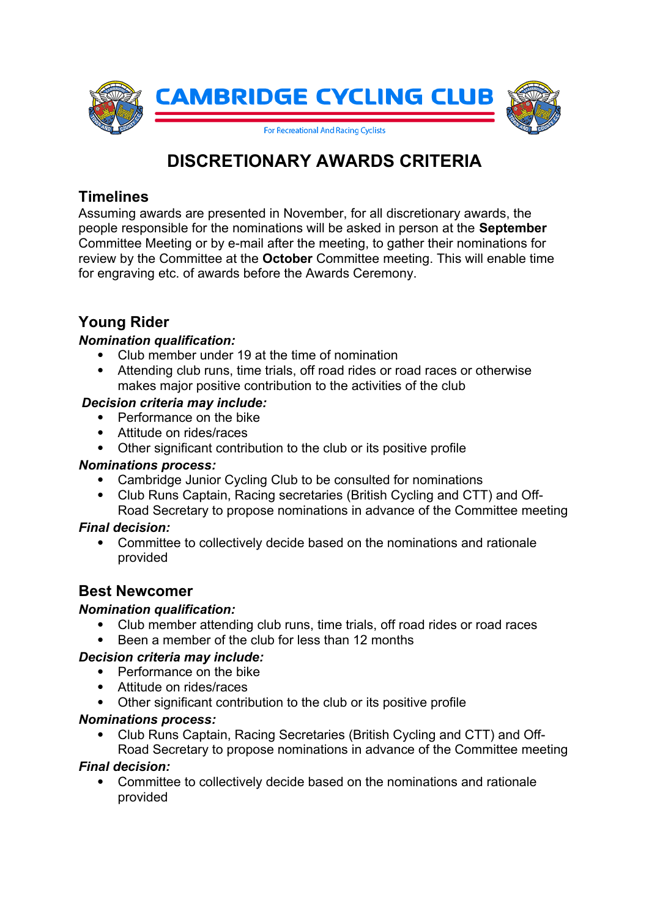

# **DISCRETIONARY AWARDS CRITERIA**

### **Timelines**

Assuming awards are presented in November, for all discretionary awards, the people responsible for the nominations will be asked in person at the **September**  Committee Meeting or by e-mail after the meeting, to gather their nominations for review by the Committee at the **October** Committee meeting. This will enable time for engraving etc. of awards before the Awards Ceremony.

# **Young Rider**

### *Nomination qualification:*

- Club member under 19 at the time of nomination
- Attending club runs, time trials, off road rides or road races or otherwise makes major positive contribution to the activities of the club

### *Decision criteria may include:*

- Performance on the bike
- Attitude on rides/races
- Other significant contribution to the club or its positive profile

### *Nominations process:*

- Cambridge Junior Cycling Club to be consulted for nominations
- Club Runs Captain, Racing secretaries (British Cycling and CTT) and Off-Road Secretary to propose nominations in advance of the Committee meeting

### *Final decision:*

 Committee to collectively decide based on the nominations and rationale provided

### **Best Newcomer**

### *Nomination qualification:*

- Club member attending club runs, time trials, off road rides or road races
- Been a member of the club for less than 12 months

### *Decision criteria may include:*

- Performance on the bike
- Attitude on rides/races
- Other significant contribution to the club or its positive profile

### *Nominations process:*

 Club Runs Captain, Racing Secretaries (British Cycling and CTT) and Off-Road Secretary to propose nominations in advance of the Committee meeting

### *Final decision:*

 Committee to collectively decide based on the nominations and rationale provided